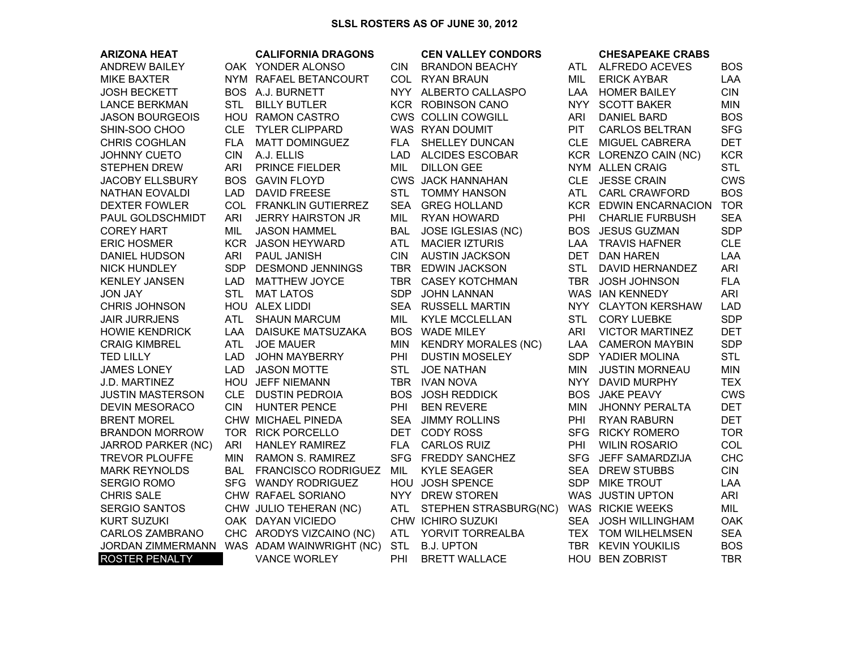| <b>ARIZONA HEAT</b>       |            | <b>CALIFORNIA DRAGONS</b>  |            | <b>CEN VALLEY CONDORS</b>  |            | <b>CHESAPEAKE CRABS</b>      |            |
|---------------------------|------------|----------------------------|------------|----------------------------|------------|------------------------------|------------|
| <b>ANDREW BAILEY</b>      |            | OAK YONDER ALONSO          | CIN.       | <b>BRANDON BEACHY</b>      | ATL        | ALFREDO ACEVES               | <b>BOS</b> |
| <b>MIKE BAXTER</b>        |            | NYM RAFAEL BETANCOURT      |            | COL RYAN BRAUN             | MIL        | <b>ERICK AYBAR</b>           | <b>LAA</b> |
| <b>JOSH BECKETT</b>       |            | BOS A.J. BURNETT           |            | NYY ALBERTO CALLASPO       | LAA        | <b>HOMER BAILEY</b>          | <b>CIN</b> |
| <b>LANCE BERKMAN</b>      | <b>STL</b> | <b>BILLY BUTLER</b>        |            | KCR ROBINSON CANO          | <b>NYY</b> | <b>SCOTT BAKER</b>           | <b>MIN</b> |
| <b>JASON BOURGEOIS</b>    |            | HOU RAMON CASTRO           |            | CWS COLLIN COWGILL         | ARI        | <b>DANIEL BARD</b>           | <b>BOS</b> |
| SHIN-SOO CHOO             | <b>CLE</b> | <b>TYLER CLIPPARD</b>      |            | WAS RYAN DOUMIT            | <b>PIT</b> | <b>CARLOS BELTRAN</b>        | <b>SFG</b> |
| <b>CHRIS COGHLAN</b>      | <b>FLA</b> | <b>MATT DOMINGUEZ</b>      | <b>FLA</b> | SHELLEY DUNCAN             | CLE        | MIGUEL CABRERA               | <b>DET</b> |
| <b>JOHNNY CUETO</b>       | <b>CIN</b> | A.J. ELLIS                 | LAD.       | <b>ALCIDES ESCOBAR</b>     |            | KCR LORENZO CAIN (NC)        | <b>KCR</b> |
| <b>STEPHEN DREW</b>       | <b>ARI</b> | PRINCE FIELDER             | MIL        | <b>DILLON GEE</b>          |            | NYM ALLEN CRAIG              | <b>STL</b> |
| <b>JACOBY ELLSBURY</b>    |            | <b>BOS GAVIN FLOYD</b>     |            | <b>CWS JACK HANNAHAN</b>   |            | CLE JESSE CRAIN              | <b>CWS</b> |
| <b>NATHAN EOVALDI</b>     | <b>LAD</b> | <b>DAVID FREESE</b>        | <b>STL</b> | <b>TOMMY HANSON</b>        | ATL        | <b>CARL CRAWFORD</b>         | <b>BOS</b> |
| <b>DEXTER FOWLER</b>      |            | COL FRANKLIN GUTIERREZ     | <b>SEA</b> | <b>GREG HOLLAND</b>        |            | <b>KCR EDWIN ENCARNACION</b> | <b>TOR</b> |
| PAUL GOLDSCHMIDT          | <b>ARI</b> | <b>JERRY HAIRSTON JR</b>   | MIL        | RYAN HOWARD                | <b>PHI</b> | <b>CHARLIE FURBUSH</b>       | <b>SEA</b> |
| <b>COREY HART</b>         | MIL        | <b>JASON HAMMEL</b>        | <b>BAL</b> | JOSE IGLESIAS (NC)         |            | <b>BOS JESUS GUZMAN</b>      | <b>SDP</b> |
| <b>ERIC HOSMER</b>        |            | KCR JASON HEYWARD          | <b>ATL</b> | <b>MACIER IZTURIS</b>      | LAA        | <b>TRAVIS HAFNER</b>         | <b>CLE</b> |
| <b>DANIEL HUDSON</b>      | <b>ARI</b> | PAUL JANISH                | <b>CIN</b> | <b>AUSTIN JACKSON</b>      | <b>DET</b> | <b>DAN HAREN</b>             | LAA        |
| <b>NICK HUNDLEY</b>       | SDP        | <b>DESMOND JENNINGS</b>    |            | TBR EDWIN JACKSON          | <b>STL</b> | DAVID HERNANDEZ              | ARI        |
| <b>KENLEY JANSEN</b>      | <b>LAD</b> | <b>MATTHEW JOYCE</b>       |            | TBR CASEY KOTCHMAN         | TBR        | <b>JOSH JOHNSON</b>          | <b>FLA</b> |
| <b>JON JAY</b>            | <b>STL</b> | <b>MAT LATOS</b>           | <b>SDP</b> | <b>JOHN LANNAN</b>         |            | WAS IAN KENNEDY              | ARI        |
| <b>CHRIS JOHNSON</b>      |            | HOU ALEX LIDDI             |            | SEA RUSSELL MARTIN         |            | NYY CLAYTON KERSHAW          | <b>LAD</b> |
| <b>JAIR JURRJENS</b>      | ATL        | <b>SHAUN MARCUM</b>        | MIL        | <b>KYLE MCCLELLAN</b>      | <b>STL</b> | <b>CORY LUEBKE</b>           | <b>SDP</b> |
| <b>HOWIE KENDRICK</b>     | LAA        | <b>DAISUKE MATSUZAKA</b>   |            | <b>BOS WADE MILEY</b>      | <b>ARI</b> | <b>VICTOR MARTINEZ</b>       | <b>DET</b> |
| <b>CRAIG KIMBREL</b>      | <b>ATL</b> | <b>JOE MAUER</b>           | <b>MIN</b> | <b>KENDRY MORALES (NC)</b> | LAA        | <b>CAMERON MAYBIN</b>        | <b>SDP</b> |
| <b>TED LILLY</b>          | <b>LAD</b> | <b>JOHN MAYBERRY</b>       | PHI        | <b>DUSTIN MOSELEY</b>      | <b>SDP</b> | YADIER MOLINA                | <b>STL</b> |
| <b>JAMES LONEY</b>        | <b>LAD</b> | <b>JASON MOTTE</b>         | <b>STL</b> | <b>JOE NATHAN</b>          | <b>MIN</b> | <b>JUSTIN MORNEAU</b>        | <b>MIN</b> |
| J.D. MARTINEZ             |            | HOU JEFF NIEMANN           |            | TBR IVAN NOVA              | <b>NYY</b> | <b>DAVID MURPHY</b>          | <b>TEX</b> |
| <b>JUSTIN MASTERSON</b>   | <b>CLE</b> | <b>DUSTIN PEDROIA</b>      |            | <b>BOS JOSH REDDICK</b>    | <b>BOS</b> | <b>JAKE PEAVY</b>            | <b>CWS</b> |
| <b>DEVIN MESORACO</b>     | <b>CIN</b> | <b>HUNTER PENCE</b>        | PHI        | <b>BEN REVERE</b>          | <b>MIN</b> | <b>JHONNY PERALTA</b>        | <b>DET</b> |
| <b>BRENT MOREL</b>        |            | CHW MICHAEL PINEDA         | SEA        | <b>JIMMY ROLLINS</b>       | <b>PHI</b> | <b>RYAN RABURN</b>           | <b>DET</b> |
| <b>BRANDON MORROW</b>     |            | TOR RICK PORCELLO          |            | DET CODY ROSS              | <b>SFG</b> | <b>RICKY ROMERO</b>          | <b>TOR</b> |
| <b>JARROD PARKER (NC)</b> | <b>ARI</b> | <b>HANLEY RAMIREZ</b>      | <b>FLA</b> | <b>CARLOS RUIZ</b>         | PHI        | <b>WILIN ROSARIO</b>         | COL        |
| <b>TREVOR PLOUFFE</b>     | <b>MIN</b> | <b>RAMON S. RAMIREZ</b>    |            | SFG FREDDY SANCHEZ         | <b>SFG</b> | JEFF SAMARDZIJA              | <b>CHC</b> |
| <b>MARK REYNOLDS</b>      | <b>BAL</b> | <b>FRANCISCO RODRIGUEZ</b> | MIL        | <b>KYLE SEAGER</b>         | <b>SEA</b> | <b>DREW STUBBS</b>           | <b>CIN</b> |
| <b>SERGIO ROMO</b>        |            | SFG WANDY RODRIGUEZ        |            | HOU JOSH SPENCE            | SDP.       | <b>MIKE TROUT</b>            | LAA        |
| <b>CHRIS SALE</b>         |            | CHW RAFAEL SORIANO         |            | NYY DREW STOREN            |            | WAS JUSTIN UPTON             | <b>ARI</b> |
| <b>SERGIO SANTOS</b>      |            | CHW JULIO TEHERAN (NC)     | <b>ATL</b> | STEPHEN STRASBURG(NC)      |            | WAS RICKIE WEEKS             | MIL        |
| <b>KURT SUZUKI</b>        |            | OAK DAYAN VICIEDO          |            | CHW ICHIRO SUZUKI          |            | SEA JOSH WILLINGHAM          | <b>OAK</b> |
| <b>CARLOS ZAMBRANO</b>    |            | CHC ARODYS VIZCAINO (NC)   | <b>ATL</b> | YORVIT TORREALBA           |            | TEX TOM WILHELMSEN           | <b>SEA</b> |
| JORDAN ZIMMERMANN         |            | WAS ADAM WAINWRIGHT (NC)   | <b>STL</b> | <b>B.J. UPTON</b>          |            | TBR KEVIN YOUKILIS           | <b>BOS</b> |
| <b>ROSTER PENALTY</b>     |            | <b>VANCE WORLEY</b>        | PHI        | <b>BRETT WALLACE</b>       |            | HOU BEN ZOBRIST              | <b>TBR</b> |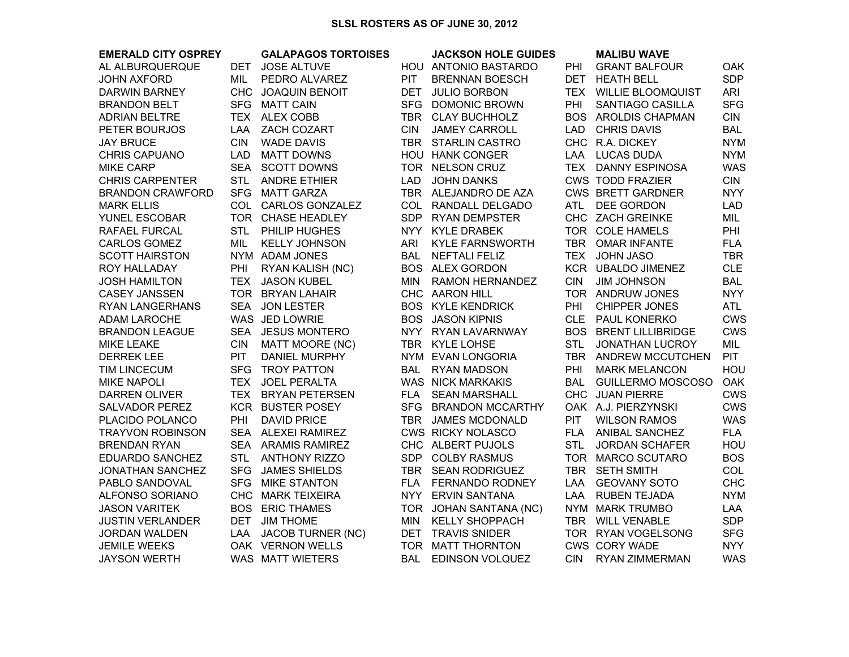## **SLSL ROSTERS AS OF JUNE 30, 2012**

| <b>EMERALD CITY OSPREY</b> |            | <b>GALAPAGOS TORTOISES</b> |            | <b>JACKSON HOLE GUIDES</b> |            | <b>MALIBU WAVE</b>           |            |
|----------------------------|------------|----------------------------|------------|----------------------------|------------|------------------------------|------------|
| AL ALBURQUERQUE            | DET        | <b>JOSE ALTUVE</b>         |            | HOU ANTONIO BASTARDO       | <b>PHI</b> | <b>GRANT BALFOUR</b>         | <b>OAK</b> |
| <b>JOHN AXFORD</b>         | MIL        | PEDRO ALVAREZ              | <b>PIT</b> | <b>BRENNAN BOESCH</b>      | <b>DET</b> | <b>HEATH BELL</b>            | <b>SDP</b> |
| <b>DARWIN BARNEY</b>       |            | CHC JOAQUIN BENOIT         | <b>DET</b> | <b>JULIO BORBON</b>        |            | TEX WILLIE BLOOMQUIST        | ARI        |
| <b>BRANDON BELT</b>        |            | SFG MATT CAIN              |            | SFG DOMONIC BROWN          | PHI        | SANTIAGO CASILLA             | <b>SFG</b> |
| <b>ADRIAN BELTRE</b>       |            | TEX ALEX COBB              |            | TBR CLAY BUCHHOLZ          |            | BOS AROLDIS CHAPMAN          | <b>CIN</b> |
| PETER BOURJOS              |            | LAA ZACH COZART            | <b>CIN</b> | <b>JAMEY CARROLL</b>       | LAD        | <b>CHRIS DAVIS</b>           | <b>BAL</b> |
| <b>JAY BRUCE</b>           | <b>CIN</b> | <b>WADE DAVIS</b>          |            | TBR STARLIN CASTRO         |            | CHC R.A. DICKEY              | <b>NYM</b> |
| <b>CHRIS CAPUANO</b>       | LAD        | <b>MATT DOWNS</b>          |            | HOU HANK CONGER            |            | LAA LUCAS DUDA               | <b>NYM</b> |
| <b>MIKE CARP</b>           |            | SEA SCOTT DOWNS            |            | TOR NELSON CRUZ            |            | TEX DANNY ESPINOSA           | <b>WAS</b> |
| <b>CHRIS CARPENTER</b>     | <b>STL</b> | <b>ANDRE ETHIER</b>        | <b>LAD</b> | <b>JOHN DANKS</b>          |            | <b>CWS TODD FRAZIER</b>      | <b>CIN</b> |
| <b>BRANDON CRAWFORD</b>    |            | SFG MATT GARZA             |            | TBR ALEJANDRO DE AZA       |            | <b>CWS BRETT GARDNER</b>     | <b>NYY</b> |
| <b>MARK ELLIS</b>          |            | COL CARLOS GONZALEZ        |            | COL RANDALL DELGADO        | <b>ATL</b> | DEE GORDON                   | <b>LAD</b> |
| <b>YUNEL ESCOBAR</b>       |            | TOR CHASE HEADLEY          |            | SDP RYAN DEMPSTER          |            | CHC ZACH GREINKE             | MIL        |
| RAFAEL FURCAL              | <b>STL</b> | PHILIP HUGHES              |            | NYY KYLE DRABEK            |            | TOR COLE HAMELS              | PHI        |
| CARLOS GOMEZ               | MIL        | <b>KELLY JOHNSON</b>       | <b>ARI</b> | <b>KYLE FARNSWORTH</b>     |            | TBR OMAR INFANTE             | <b>FLA</b> |
| <b>SCOTT HAIRSTON</b>      |            | NYM ADAM JONES             | BAL        | <b>NEFTALI FELIZ</b>       |            | TEX JOHN JASO                | <b>TBR</b> |
| ROY HALLADAY               | PHI        | RYAN KALISH (NC)           |            | <b>BOS ALEX GORDON</b>     |            | KCR UBALDO JIMENEZ           | <b>CLE</b> |
| <b>JOSH HAMILTON</b>       | TEX.       | <b>JASON KUBEL</b>         | MIN.       | <b>RAMON HERNANDEZ</b>     | <b>CIN</b> | <b>JIM JOHNSON</b>           | <b>BAL</b> |
| <b>CASEY JANSSEN</b>       |            | TOR BRYAN LAHAIR           |            | CHC AARON HILL             |            | TOR ANDRUW JONES             | <b>NYY</b> |
| <b>RYAN LANGERHANS</b>     | <b>SEA</b> | <b>JON LESTER</b>          |            | <b>BOS KYLE KENDRICK</b>   | PHI        | CHIPPER JONES                | <b>ATL</b> |
| <b>ADAM LAROCHE</b>        |            | WAS JED LOWRIE             | <b>BOS</b> | <b>JASON KIPNIS</b>        |            | CLE PAUL KONERKO             | <b>CWS</b> |
| <b>BRANDON LEAGUE</b>      | <b>SEA</b> | <b>JESUS MONTERO</b>       |            | NYY RYAN LAVARNWAY         |            | <b>BOS BRENT LILLIBRIDGE</b> | <b>CWS</b> |
| <b>MIKE LEAKE</b>          | <b>CIN</b> | <b>MATT MOORE (NC)</b>     |            | TBR KYLE LOHSE             | <b>STL</b> | <b>JONATHAN LUCROY</b>       | MIL        |
| <b>DERREK LEE</b>          | <b>PIT</b> | <b>DANIEL MURPHY</b>       |            | NYM EVAN LONGORIA          |            | TBR ANDREW MCCUTCHEN         | <b>PIT</b> |
| <b>TIM LINCECUM</b>        | <b>SFG</b> | TROY PATTON                | BAL        | <b>RYAN MADSON</b>         | PHI        | <b>MARK MELANCON</b>         | HOU        |
| <b>MIKE NAPOLI</b>         | <b>TEX</b> | <b>JOEL PERALTA</b>        |            | WAS NICK MARKAKIS          | BAL        | <b>GUILLERMO MOSCOSO</b>     | <b>OAK</b> |
| <b>DARREN OLIVER</b>       |            | TEX BRYAN PETERSEN         | FLA        | <b>SEAN MARSHALL</b>       |            | CHC JUAN PIERRE              | <b>CWS</b> |
| <b>SALVADOR PEREZ</b>      |            | <b>KCR BUSTER POSEY</b>    |            | SFG BRANDON MCCARTHY       |            | OAK A.J. PIERZYNSKI          | <b>CWS</b> |
| PLACIDO POLANCO            | PHI        | <b>DAVID PRICE</b>         | <b>TBR</b> | <b>JAMES MCDONALD</b>      | <b>PIT</b> | <b>WILSON RAMOS</b>          | <b>WAS</b> |
| <b>TRAYVON ROBINSON</b>    |            | SEA ALEXEI RAMIREZ         |            | CWS RICKY NOLASCO          | <b>FLA</b> | ANIBAL SANCHEZ               | <b>FLA</b> |
| <b>BRENDAN RYAN</b>        |            | SEA ARAMIS RAMIREZ         |            | CHC ALBERT PUJOLS          | <b>STL</b> | <b>JORDAN SCHAFER</b>        | HOU        |
| EDUARDO SANCHEZ            | <b>STL</b> | <b>ANTHONY RIZZO</b>       | SDP        | <b>COLBY RASMUS</b>        |            | TOR MARCO SCUTARO            | <b>BOS</b> |
| JONATHAN SANCHEZ           | <b>SFG</b> | <b>JAMES SHIELDS</b>       | <b>TBR</b> | <b>SEAN RODRIGUEZ</b>      |            | TBR SETH SMITH               | <b>COL</b> |
| PABLO SANDOVAL             | <b>SFG</b> | <b>MIKE STANTON</b>        | FLA        | FERNANDO RODNEY            | LAA        | <b>GEOVANY SOTO</b>          | <b>CHC</b> |
| ALFONSO SORIANO            |            | CHC MARK TEIXEIRA          |            | NYY ERVIN SANTANA          | LAA        | <b>RUBEN TEJADA</b>          | <b>NYM</b> |
| <b>JASON VARITEK</b>       |            | <b>BOS ERIC THAMES</b>     |            | TOR JOHAN SANTANA (NC)     |            | NYM MARK TRUMBO              | <b>LAA</b> |
| <b>JUSTIN VERLANDER</b>    | <b>DET</b> | <b>JIM THOME</b>           | MIN        | <b>KELLY SHOPPACH</b>      |            | TBR WILL VENABLE             | <b>SDP</b> |
| <b>JORDAN WALDEN</b>       | LAA        | <b>JACOB TURNER (NC)</b>   | <b>DET</b> | <b>TRAVIS SNIDER</b>       |            | TOR RYAN VOGELSONG           | <b>SFG</b> |
| <b>JEMILE WEEKS</b>        |            | OAK VERNON WELLS           |            | TOR MATT THORNTON          |            | CWS CORY WADE                | <b>NYY</b> |
| <b>JAYSON WERTH</b>        |            | <b>WAS MATT WIETERS</b>    | <b>BAL</b> | <b>EDINSON VOLQUEZ</b>     | <b>CIN</b> | <b>RYAN ZIMMERMAN</b>        | <b>WAS</b> |
|                            |            |                            |            |                            |            |                              |            |